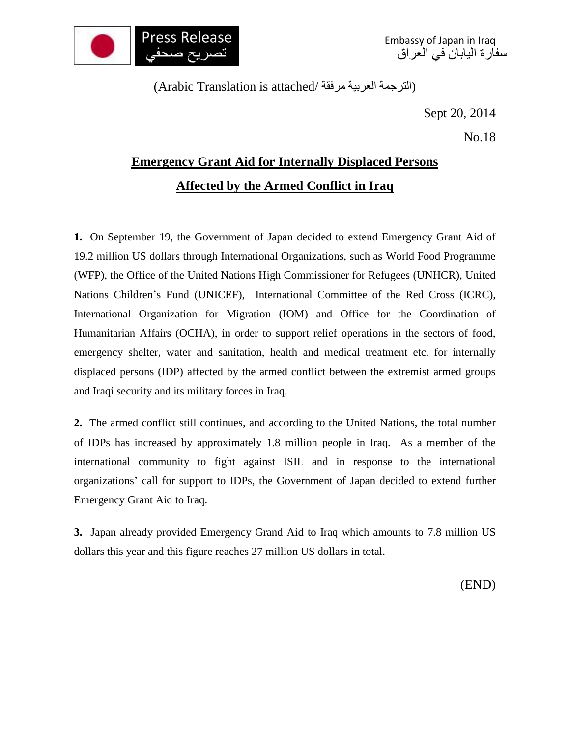

Embassy of Japan in Iraq سفارة اليابان في العراق

(الترجمة العربية مرفقة /Arabic Translation is attached)

Sept 20, 2014

No.18

## **Emergency Grant Aid for Internally Displaced Persons Affected by the Armed Conflict in Iraq**

**1.** On September 19, the Government of Japan decided to extend Emergency Grant Aid of 19.2 million US dollars through International Organizations, such as World Food Programme (WFP), the Office of the United Nations High Commissioner for Refugees (UNHCR), United Nations Children's Fund (UNICEF), International Committee of the Red Cross (ICRC), International Organization for Migration (IOM) and Office for the Coordination of Humanitarian Affairs (OCHA), in order to support relief operations in the sectors of food, emergency shelter, water and sanitation, health and medical treatment etc. for internally displaced persons (IDP) affected by the armed conflict between the extremist armed groups and Iraqi security and its military forces in Iraq.

**2.** The armed conflict still continues, and according to the United Nations, the total number of IDPs has increased by approximately 1.8 million people in Iraq. As a member of the international community to fight against ISIL and in response to the international organizations' call for support to IDPs, the Government of Japan decided to extend further Emergency Grant Aid to Iraq.

**3.** Japan already provided Emergency Grand Aid to Iraq which amounts to 7.8 million US dollars this year and this figure reaches 27 million US dollars in total.

(END)